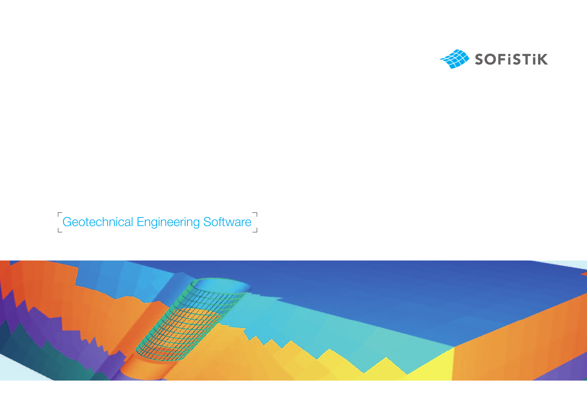

## **Geotechnical Engineering Software**

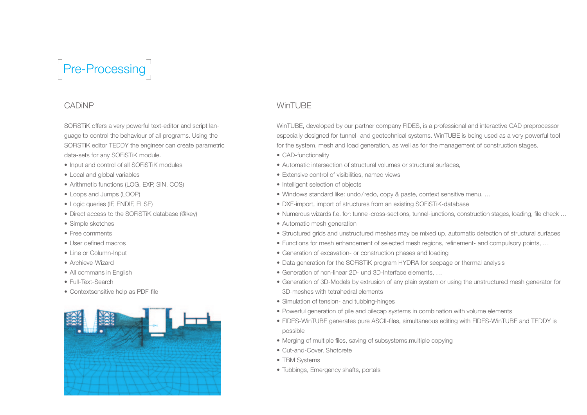

#### CADiNP

SOFiSTiK offers a very powerful text-editor and script language to control the behaviour of all programs. Using the SOFiSTiK editor TEDDY the engineer can create parametric data-sets for any SOFiSTiK module.

- Input and control of all SOFiSTiK modules
- Local and global variables
- Arithmetic functions (LOG, EXP, SIN, COS)
- • Loops and Jumps (LOOP)
- • Logic queries (IF, ENDIF, ELSE)
- Direct access to the SOFiSTiK database (@key)
- Simple sketches
- • Free comments
- • User defined macros
- • Line or Column-Input
- Archieve-Wizard
- All commans in English
- • Full-Text-Search
- Contextsensitive help as PDF-file



## WinTURF

WinTUBE, developed by our partner company FIDES, is a professional and interactive CAD preprocessor especially designed for tunnel- and geotechnical systems. WinTUBE is being used as a very powerful tool for the system, mesh and load generation, as well as for the management of construction stages.

- CAD-functionality
- Automatic intersection of structural volumes or structural surfaces
- Extensive control of visibilities, named views
- Intelligent selection of objects
- Windows standard like: undo/redo, copy & paste, context sensitive menu, ...
- DXF-import, import of structures from an existing SOFiSTiK-database
- • Numerous wizards f.e. for: tunnel-cross-sections, tunnel-junctions, construction stages, loading, file check …
- Automatic mesh generation
- • Structured grids and unstructured meshes may be mixed up, automatic detection of structural surfaces
- Functions for mesh enhancement of selected mesh regions, refinement- and compulsory points, ...
- Generation of excavation- or construction phases and loading
- Data generation for the SOFiSTiK program HYDRA for seepage or thermal analysis
- Generation of non-linear 2D- und 3D-Interface elements, ...
- • Generation of 3D-Models by extrusion of any plain system or using the unstructured mesh generator for 3D-meshes with tetrahedral elements
- Simulation of tension- and tubbing-hinges
- Powerful generation of pile and pilecap systems in combination with volume elements
- • FIDES-WinTUBE generates pure ASCII-files, simultaneous editing with FIDES-WinTUBE and TEDDY is possible
- Merging of multiple files, saving of subsystems, multiple copying
- Cut-and-Cover, Shotcrete
- TBM Systems
- Tubbings, Emergency shafts, portals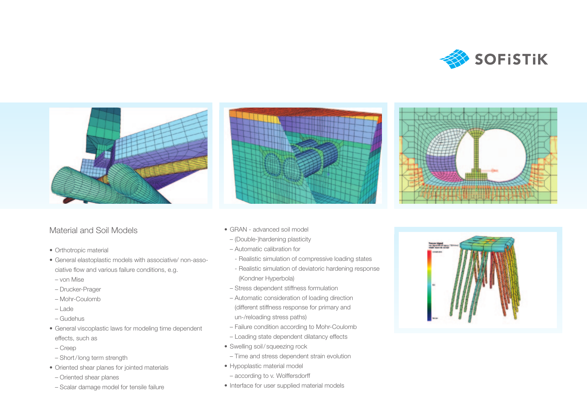



### Material and Soil Models

- Orthotropic material
- • General elastoplastic models with associative/ non-associative flow and various failure conditions, e.g.
- von Mise
- Drucker-Prager
- Mohr-Coulomb
- Lade
- Gudehus
- General viscoplastic laws for modeling time dependent effects, such as
- Creep
- Short/long term strength
- • Oriented shear planes for jointed materials
- Oriented shear planes
- Scalar damage model for tensile failure



- GRAN advanced soil model
	- (Double-)hardening plasticity
	- Automatic calibration for
	- Realistic simulation of compressive loading states
	- Realistic simulation of deviatoric hardening response (Kondner Hyperbola)
	- Stress dependent stiffness formulation
	- Automatic consideration of loading direction (different stiffness response for primary and un-/reloading stress paths)
	- Failure condition according to Mohr-Coulomb
	- Loading state dependent dilatancy effects
- Swelling soil/squeezing rock
- Time and stress dependent strain evolution
- • Hypoplastic material model
- according to v. Wolffersdorff
- Interface for user supplied material models